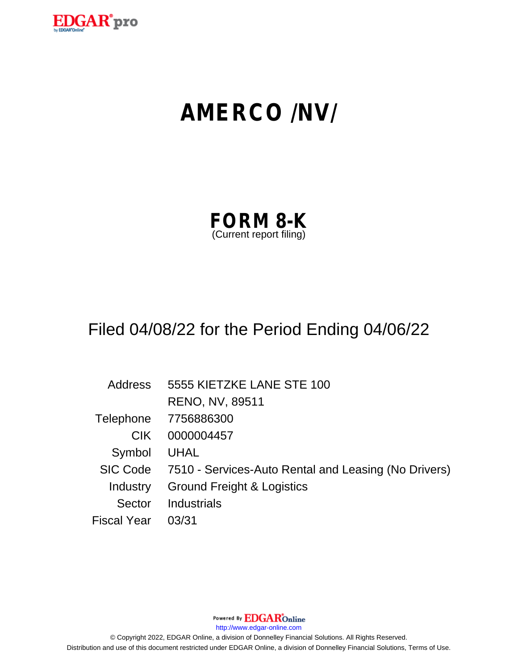

# **AMERCO /NV/**

| <b>FORM 8-K</b>         |  |
|-------------------------|--|
| (Current report filing) |  |

# Filed 04/08/22 for the Period Ending 04/06/22

| <b>Address</b>     | 5555 KIETZKE LANE STE 100                            |
|--------------------|------------------------------------------------------|
|                    | <b>RENO, NV, 89511</b>                               |
| Telephone          | 7756886300                                           |
| CIK.               | 0000004457                                           |
| Symbol             | <b>UHAL</b>                                          |
| <b>SIC Code</b>    | 7510 - Services-Auto Rental and Leasing (No Drivers) |
| Industry           | <b>Ground Freight &amp; Logistics</b>                |
| Sector             | <b>Industrials</b>                                   |
| <b>Fiscal Year</b> | 03/31                                                |

Powered By EDGAROnline

http://www.edgar-online.com

© Copyright 2022, EDGAR Online, a division of Donnelley Financial Solutions. All Rights Reserved. Distribution and use of this document restricted under EDGAR Online, a division of Donnelley Financial Solutions, Terms of Use.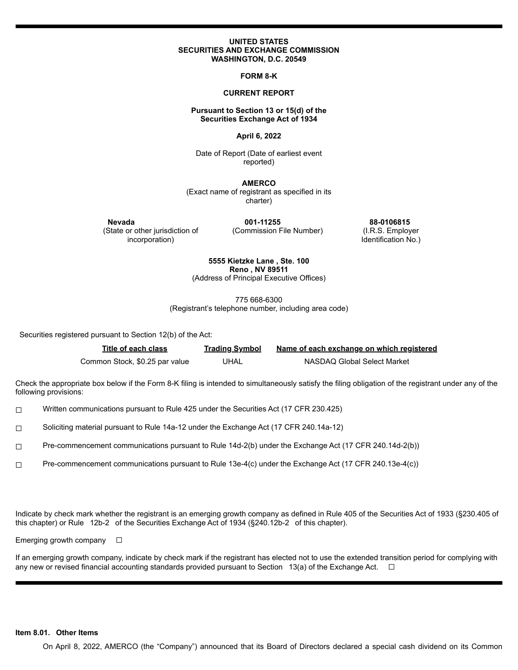### **UNITED STATES** SECURITIES AND EXCHANGE COMMISSION WASHINGTON, D.C. 20549

**FORM 8-K** 

# **CURRENT REPORT**

# Pursuant to Section 13 or 15(d) of the **Securities Exchange Act of 1934**

### April 6, 2022

Date of Report (Date of earliest event reported)

**AMERCO** (Exact name of registrant as specified in its charter)

Nevada (State or other jurisdiction of incorporation)

001-11255 (Commission File Number)

88-0106815 (I.R.S. Employer Identification No.)

# 5555 Kietzke Lane, Ste. 100 Reno, NV 89511

(Address of Principal Executive Offices)

775 668-6300

(Registrant's telephone number, including area code)

Securities registered pursuant to Section 12(b) of the Act:

| Title of each class            | <b>Trading Symbol</b> | Name of each exchange on which registered |
|--------------------------------|-----------------------|-------------------------------------------|
| Common Stock, \$0.25 par value | UHAL                  | NASDAQ Global Select Market               |

Check the appropriate box below if the Form 8-K filing is intended to simultaneously satisfy the filing obligation of the registrant under any of the following provisions:

Written communications pursuant to Rule 425 under the Securities Act (17 CFR 230.425)  $\Box$ 

 $\Box$ Soliciting material pursuant to Rule 14a-12 under the Exchange Act (17 CFR 240.14a-12)

Pre-commencement communications pursuant to Rule 14d-2(b) under the Exchange Act (17 CFR 240.14d-2(b))  $\Box$ 

Pre-commencement communications pursuant to Rule 13e-4(c) under the Exchange Act (17 CFR 240.13e-4(c))  $\Box$ 

Indicate by check mark whether the registrant is an emerging growth company as defined in Rule 405 of the Securities Act of 1933 (§230.405 of this chapter) or Rule 12b-2 of the Securities Exchange Act of 1934 (§240.12b-2 of this chapter).

Emerging growth company  $\square$ 

If an emerging growth company, indicate by check mark if the registrant has elected not to use the extended transition period for complying with any new or revised financial accounting standards provided pursuant to Section 13(a) of the Exchange Act.  $\Box$ 

# Item 8.01. Other Items

On April 8, 2022, AMERCO (the "Company") announced that its Board of Directors declared a special cash dividend on its Common